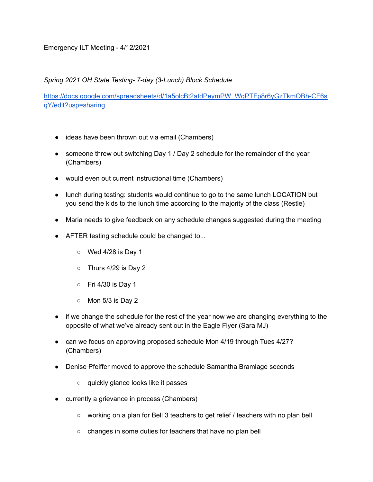## Emergency ILT Meeting - 4/12/2021

## *Spring 2021 OH State Testing- 7-day (3-Lunch) Block Schedule*

[https://docs.google.com/spreadsheets/d/1a5olcBt2atdPeymPW\\_WgPTFp8r6yGzTkmOBh-CF6s](https://docs.google.com/spreadsheets/d/1a5olcBt2atdPeymPW_WgPTFp8r6yGzTkmOBh-CF6sqY/edit?usp=sharing) [qY/edit?usp=sharing](https://docs.google.com/spreadsheets/d/1a5olcBt2atdPeymPW_WgPTFp8r6yGzTkmOBh-CF6sqY/edit?usp=sharing)

- ideas have been thrown out via email (Chambers)
- someone threw out switching Day 1 / Day 2 schedule for the remainder of the year (Chambers)
- would even out current instructional time (Chambers)
- lunch during testing: students would continue to go to the same lunch LOCATION but you send the kids to the lunch time according to the majority of the class (Restle)
- Maria needs to give feedback on any schedule changes suggested during the meeting
- AFTER testing schedule could be changed to...
	- Wed 4/28 is Day 1
	- Thurs 4/29 is Day 2
	- Fri 4/30 is Day 1
	- $\circ$  Mon 5/3 is Day 2
- if we change the schedule for the rest of the year now we are changing everything to the opposite of what we've already sent out in the Eagle Flyer (Sara MJ)
- can we focus on approving proposed schedule Mon 4/19 through Tues 4/27? (Chambers)
- Denise Pfeiffer moved to approve the schedule Samantha Bramlage seconds
	- quickly glance looks like it passes
- currently a grievance in process (Chambers)
	- working on a plan for Bell 3 teachers to get relief / teachers with no plan bell
	- changes in some duties for teachers that have no plan bell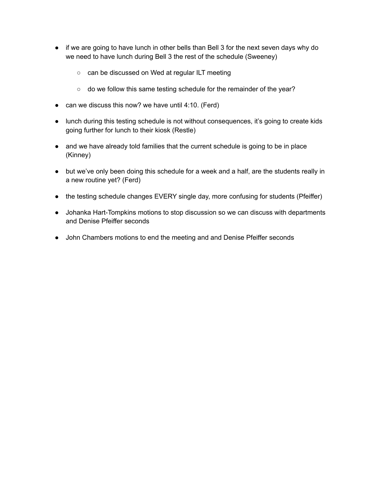- if we are going to have lunch in other bells than Bell 3 for the next seven days why do we need to have lunch during Bell 3 the rest of the schedule (Sweeney)
	- can be discussed on Wed at regular ILT meeting
	- do we follow this same testing schedule for the remainder of the year?
- can we discuss this now? we have until 4:10. (Ferd)
- lunch during this testing schedule is not without consequences, it's going to create kids going further for lunch to their kiosk (Restle)
- and we have already told families that the current schedule is going to be in place (Kinney)
- but we've only been doing this schedule for a week and a half, are the students really in a new routine yet? (Ferd)
- the testing schedule changes EVERY single day, more confusing for students (Pfeiffer)
- Johanka Hart-Tompkins motions to stop discussion so we can discuss with departments and Denise Pfeiffer seconds
- John Chambers motions to end the meeting and and Denise Pfeiffer seconds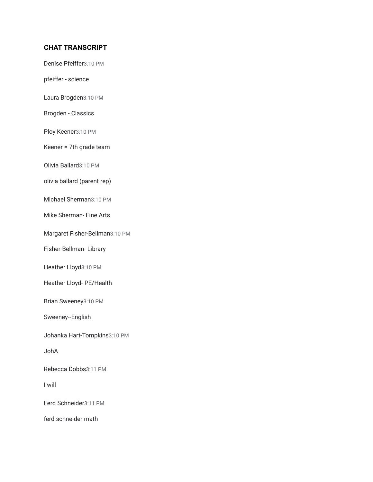## **CHAT TRANSCRIPT**

Denise Pfeiffer3:10 PM

pfeiffer - science

Laura Brogden3:10 PM

Brogden - Classics

Ploy Keener3:10 PM

Keener = 7th grade team

Olivia Ballard3:10 PM

olivia ballard (parent rep)

Michael Sherman3:10 PM

Mike Sherman- Fine Arts

Margaret Fisher-Bellman3:10 PM

Fisher-Bellman- Library

Heather Lloyd3:10 PM

Heather Lloyd- PE/Health

Brian Sweeney3:10 PM

Sweeney--English

Johanka Hart-Tompkins3:10 PM

JohA

Rebecca Dobbs3:11 PM

I will

Ferd Schneider3:11 PM

ferd schneider math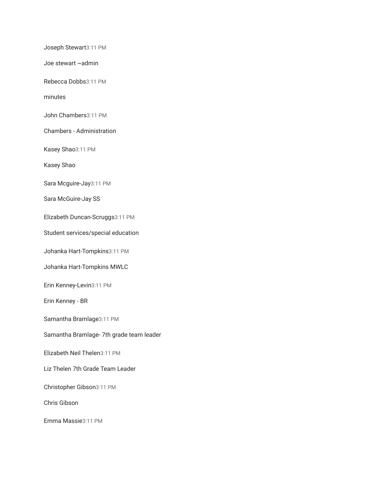Joseph Stewart3:11 PM

Joe stewart ~admin

Rebecca Dobbs3:11 PM

minutes

John Chambers3:11 PM

Chambers - Administration

Kasey Shao3:11 PM

Kasey Shao

Sara Mcguire-Jay3:11 PM

Sara McGuire-Jay SS

Elizabeth Duncan-Scruggs3:11 PM

Student services/special education

Johanka Hart-Tompkins3:11 PM

Johanka Hart-Tompkins MWLC

Erin Kenney-Levin3:11 PM

Erin Kenney - BR

Samantha Bramlage3:11 PM

Samantha Bramlage- 7th grade team leader

Elizabeth Neil Thelen3:11 PM

Liz Thelen 7th Grade Team Leader

Christopher Gibson3:11 PM

Chris Gibson

Emma Massie3:11 PM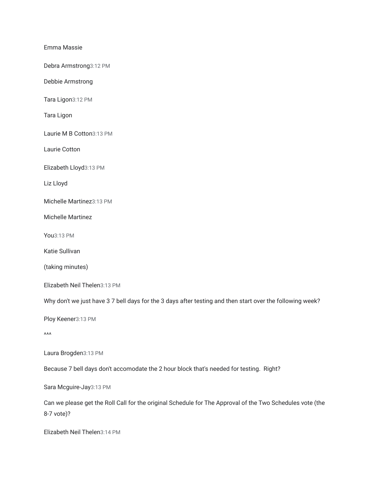Emma Massie

Debra Armstrong3:12 PM

Debbie Armstrong

Tara Ligon3:12 PM

Tara Ligon

Laurie M B Cotton3:13 PM

Laurie Cotton

Elizabeth Lloyd3:13 PM

Liz Lloyd

Michelle Martinez3:13 PM

Michelle Martinez

You3:13 PM

Katie Sullivan

(taking minutes)

```
Elizabeth Neil Thelen3:13 PM
```
Why don't we just have 3 7 bell days for the 3 days after testing and then start over the following week?

Ploy Keener3:13 PM

 $\Lambda$  $\Lambda$ 

Laura Brogden3:13 PM

Because 7 bell days don't accomodate the 2 hour block that's needed for testing. Right?

Sara Mcguire-Jay3:13 PM

Can we please get the Roll Call for the original Schedule for The Approval of the Two Schedules vote (the 8-7 vote)?

Elizabeth Neil Thelen3:14 PM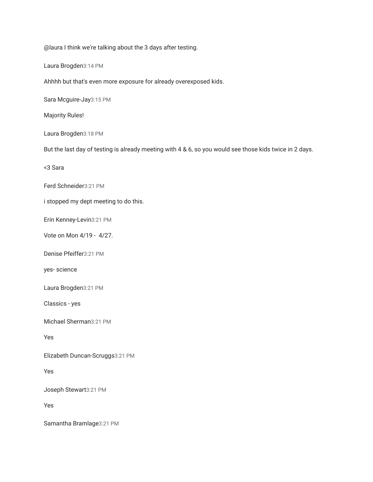@laura I think we're talking about the 3 days after testing.

Laura Brogden3:14 PM

Ahhhh but that's even more exposure for already overexposed kids.

Sara Mcguire-Jay3:15 PM

Majority Rules!

Laura Brogden3:18 PM

But the last day of testing is already meeting with 4 & 6, so you would see those kids twice in 2 days.

<3 Sara

Ferd Schneider3:21 PM

i stopped my dept meeting to do this.

Erin Kenney-Levin3:21 PM

Vote on Mon 4/19 - 4/27.

Denise Pfeiffer3:21 PM

yes- science

Laura Brogden3:21 PM

Classics - yes

Michael Sherman3:21 PM

Yes

Elizabeth Duncan-Scruggs3:21 PM

Yes

Joseph Stewart3:21 PM

Yes

Samantha Bramlage3:21 PM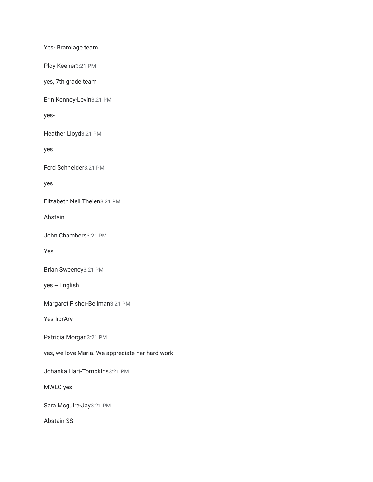Yes- Bramlage team

Ploy Keener3:21 PM

yes, 7th grade team

Erin Kenney-Levin3:21 PM

yes-

Heather Lloyd3:21 PM

yes

Ferd Schneider3:21 PM

yes

Elizabeth Neil Thelen3:21 PM

Abstain

John Chambers3:21 PM

Yes

Brian Sweeney3:21 PM

yes -- English

Margaret Fisher-Bellman3:21 PM

Yes-librAry

Patricia Morgan3:21 PM

yes, we love Maria. We appreciate her hard work

Johanka Hart-Tompkins3:21 PM

MWLC yes

Sara Mcguire-Jay3:21 PM

Abstain SS